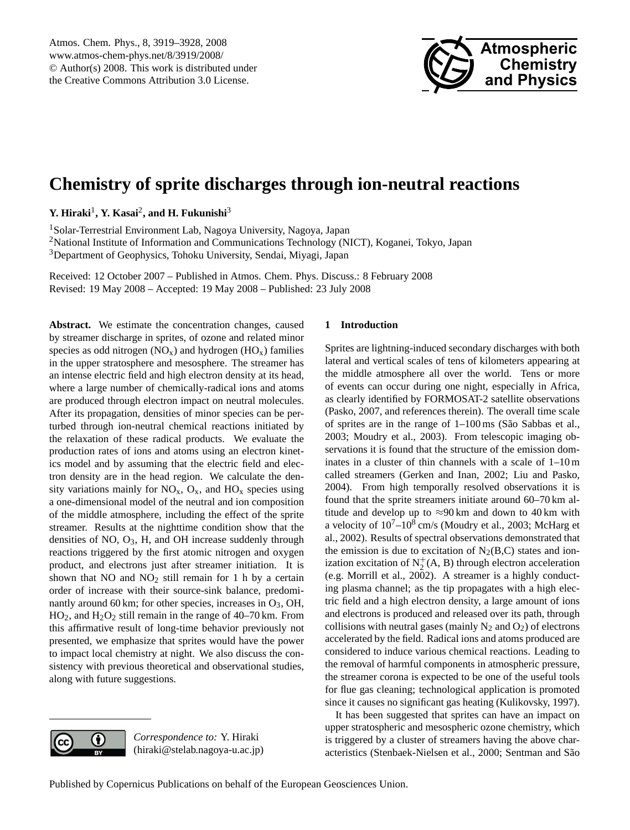

# <span id="page-0-0"></span>**Chemistry of sprite discharges through ion-neutral reactions**

Y. Hiraki<sup>1</sup>, Y. Kasai<sup>2</sup>, and H. Fukunishi<sup>3</sup>

<sup>1</sup>Solar-Terrestrial Environment Lab, Nagoya University, Nagoya, Japan <sup>2</sup>National Institute of Information and Communications Technology (NICT), Koganei, Tokyo, Japan <sup>3</sup>Department of Geophysics, Tohoku University, Sendai, Miyagi, Japan

Received: 12 October 2007 – Published in Atmos. Chem. Phys. Discuss.: 8 February 2008 Revised: 19 May 2008 – Accepted: 19 May 2008 – Published: 23 July 2008

**Abstract.** We estimate the concentration changes, caused by streamer discharge in sprites, of ozone and related minor species as odd nitrogen  $(NO_x)$  and hydrogen  $(HO_x)$  families in the upper stratosphere and mesosphere. The streamer has an intense electric field and high electron density at its head, where a large number of chemically-radical ions and atoms are produced through electron impact on neutral molecules. After its propagation, densities of minor species can be perturbed through ion-neutral chemical reactions initiated by the relaxation of these radical products. We evaluate the production rates of ions and atoms using an electron kinetics model and by assuming that the electric field and electron density are in the head region. We calculate the density variations mainly for  $NO_x$ ,  $O_x$ , and  $HO_x$  species using a one-dimensional model of the neutral and ion composition of the middle atmosphere, including the effect of the sprite streamer. Results at the nighttime condition show that the densities of NO, O3, H, and OH increase suddenly through reactions triggered by the first atomic nitrogen and oxygen product, and electrons just after streamer initiation. It is shown that  $NO$  and  $NO<sub>2</sub>$  still remain for 1 h by a certain order of increase with their source-sink balance, predominantly around 60 km; for other species, increases in  $O_3$ , OH,  $HO<sub>2</sub>$ , and  $H<sub>2</sub>O<sub>2</sub>$  still remain in the range of 40–70 km. From this affirmative result of long-time behavior previously not presented, we emphasize that sprites would have the power to impact local chemistry at night. We also discuss the consistency with previous theoretical and observational studies, along with future suggestions.

### **1 Introduction**

Sprites are lightning-induced secondary discharges with both lateral and vertical scales of tens of kilometers appearing at the middle atmosphere all over the world. Tens or more of events can occur during one night, especially in Africa, as clearly identified by FORMOSAT-2 satellite observations (Pasko, 2007, and references therein). The overall time scale of sprites are in the range of  $1-100 \text{ ms}$  (São Sabbas et al., 2003; Moudry et al., 2003). From telescopic imaging observations it is found that the structure of the emission dominates in a cluster of thin channels with a scale of 1–10 m called streamers (Gerken and Inan, 2002; Liu and Pasko, 2004). From high temporally resolved observations it is found that the sprite streamers initiate around 60–70 km altitude and develop up to  $\approx$ 90 km and down to 40 km with a velocity of  $10^{7}-10^{8}$  cm/s (Moudry et al., 2003; McHarg et al., 2002). Results of spectral observations demonstrated that the emission is due to excitation of  $N_2(B,C)$  states and ionization excitation of  $N_2^+(A, B)$  through electron acceleration (e.g. Morrill et al., 2002). A streamer is a highly conducting plasma channel; as the tip propagates with a high electric field and a high electron density, a large amount of ions and electrons is produced and released over its path, through collisions with neutral gases (mainly  $N_2$  and  $O_2$ ) of electrons accelerated by the field. Radical ions and atoms produced are considered to induce various chemical reactions. Leading to the removal of harmful components in atmospheric pressure, the streamer corona is expected to be one of the useful tools for flue gas cleaning; technological application is promoted since it causes no significant gas heating (Kulikovsky, 1997).

It has been suggested that sprites can have an impact on upper stratospheric and mesospheric ozone chemistry, which is triggered by a cluster of streamers having the above characteristics (Stenbaek-Nielsen et al., 2000; Sentman and São



*Correspondence to:* Y. Hiraki (hiraki@stelab.nagoya-u.ac.jp)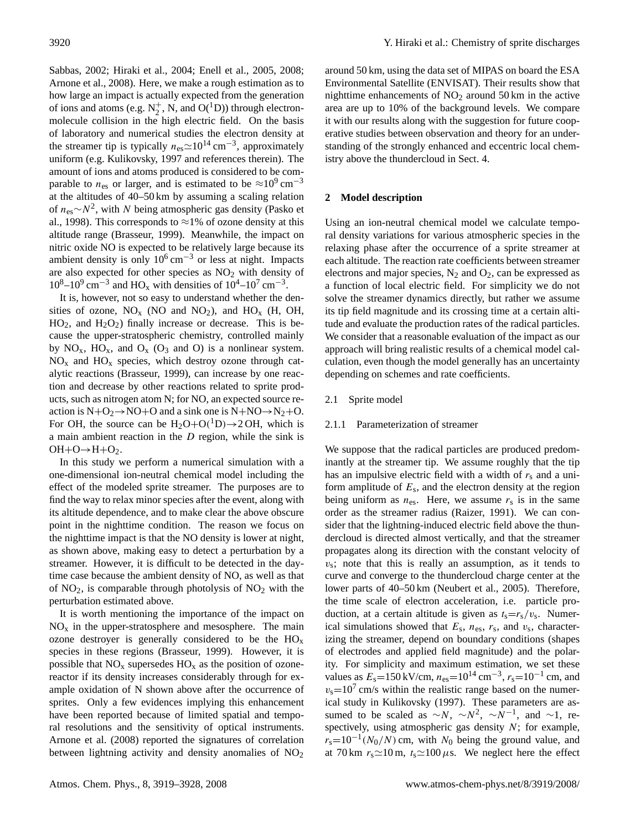Sabbas, 2002; Hiraki et al., 2004; Enell et al., 2005, 2008; Arnone et al., 2008). Here, we make a rough estimation as to how large an impact is actually expected from the generation of ions and atoms (e.g.  $N_2^+$ , N, and O(<sup>1</sup>D)) through electronmolecule collision in the high electric field. On the basis of laboratory and numerical studies the electron density at the streamer tip is typically  $n_{es} \simeq 10^{14}$  cm<sup>-3</sup>, approximately uniform (e.g. Kulikovsky, 1997 and references therein). The amount of ions and atoms produced is considered to be comparable to  $n_{\text{es}}$  or larger, and is estimated to be  $\approx 10^9 \text{ cm}^{-3}$ at the altitudes of 40–50 km by assuming a scaling relation of  $n_{\text{es}} \sim N^2$ , with N being atmospheric gas density (Pasko et al., 1998). This corresponds to  $\approx$ 1% of ozone density at this altitude range (Brasseur, 1999). Meanwhile, the impact on nitric oxide NO is expected to be relatively large because its ambient density is only  $10^6$  cm<sup>-3</sup> or less at night. Impacts are also expected for other species as  $NO<sub>2</sub>$  with density of  $10^8 - 10^9$  cm<sup>-3</sup> and HO<sub>x</sub> with densities of  $10^4 - 10^7$  cm<sup>-3</sup>.

It is, however, not so easy to understand whether the densities of ozone,  $NO<sub>x</sub>$  (NO and NO<sub>2</sub>), and HO<sub>x</sub> (H, OH,  $HO<sub>2</sub>$ , and  $H<sub>2</sub>O<sub>2</sub>$ ) finally increase or decrease. This is because the upper-stratospheric chemistry, controlled mainly by  $NO_x$ ,  $HO_x$ , and  $O_x$  ( $O_3$  and  $O_x$ ) is a nonlinear system.  $NO<sub>x</sub>$  and  $HO<sub>x</sub>$  species, which destroy ozone through catalytic reactions (Brasseur, 1999), can increase by one reaction and decrease by other reactions related to sprite products, such as nitrogen atom N; for NO, an expected source reaction is  $N+O_2 \rightarrow NO+O$  and a sink one is  $N+NO \rightarrow N_2+O$ . For OH, the source can be  $H_2O+O(^1D) \rightarrow 2OH$ , which is a main ambient reaction in the D region, while the sink is  $OH + O \rightarrow H + O_2$ .

In this study we perform a numerical simulation with a one-dimensional ion-neutral chemical model including the effect of the modeled sprite streamer. The purposes are to find the way to relax minor species after the event, along with its altitude dependence, and to make clear the above obscure point in the nighttime condition. The reason we focus on the nighttime impact is that the NO density is lower at night, as shown above, making easy to detect a perturbation by a streamer. However, it is difficult to be detected in the daytime case because the ambient density of NO, as well as that of  $NO<sub>2</sub>$ , is comparable through photolysis of  $NO<sub>2</sub>$  with the perturbation estimated above.

It is worth mentioning the importance of the impact on  $NO<sub>x</sub>$  in the upper-stratosphere and mesosphere. The main ozone destroyer is generally considered to be the  $HO_x$ species in these regions (Brasseur, 1999). However, it is possible that  $NO<sub>x</sub>$  supersedes  $HO<sub>x</sub>$  as the position of ozonereactor if its density increases considerably through for example oxidation of N shown above after the occurrence of sprites. Only a few evidences implying this enhancement have been reported because of limited spatial and temporal resolutions and the sensitivity of optical instruments. Arnone et al. (2008) reported the signatures of correlation between lightning activity and density anomalies of  $NO<sub>2</sub>$  around 50 km, using the data set of MIPAS on board the ESA Environmental Satellite (ENVISAT). Their results show that nighttime enhancements of  $NO<sub>2</sub>$  around 50 km in the active area are up to 10% of the background levels. We compare it with our results along with the suggestion for future cooperative studies between observation and theory for an understanding of the strongly enhanced and eccentric local chemistry above the thundercloud in Sect. 4.

# **2 Model description**

Using an ion-neutral chemical model we calculate temporal density variations for various atmospheric species in the relaxing phase after the occurrence of a sprite streamer at each altitude. The reaction rate coefficients between streamer electrons and major species,  $N_2$  and  $O_2$ , can be expressed as a function of local electric field. For simplicity we do not solve the streamer dynamics directly, but rather we assume its tip field magnitude and its crossing time at a certain altitude and evaluate the production rates of the radical particles. We consider that a reasonable evaluation of the impact as our approach will bring realistic results of a chemical model calculation, even though the model generally has an uncertainty depending on schemes and rate coefficients.

#### 2.1 Sprite model

#### 2.1.1 Parameterization of streamer

We suppose that the radical particles are produced predominantly at the streamer tip. We assume roughly that the tip has an impulsive electric field with a width of  $r_s$  and a uniform amplitude of  $E_s$ , and the electron density at the region being uniform as  $n_{\text{es}}$ . Here, we assume  $r_s$  is in the same order as the streamer radius (Raizer, 1991). We can consider that the lightning-induced electric field above the thundercloud is directed almost vertically, and that the streamer propagates along its direction with the constant velocity of  $v_s$ ; note that this is really an assumption, as it tends to curve and converge to the thundercloud charge center at the lower parts of 40–50 km (Neubert et al., 2005). Therefore, the time scale of electron acceleration, i.e. particle production, at a certain altitude is given as  $t_s = r_s/v_s$ . Numerical simulations showed that  $E_s$ ,  $n_{es}$ ,  $r_s$ , and  $v_s$ , characterizing the streamer, depend on boundary conditions (shapes of electrodes and applied field magnitude) and the polarity. For simplicity and maximum estimation, we set these values as  $E_s$ =150 kV/cm,  $n_{es}$ =10<sup>14</sup> cm<sup>-3</sup>,  $r_s$ =10<sup>-1</sup> cm, and  $v_s$ =10<sup>7</sup> cm/s within the realistic range based on the numerical study in Kulikovsky (1997). These parameters are assumed to be scaled as  $\sim N$ ,  $\sim N^2$ ,  $\sim N^{-1}$ , and  $\sim 1$ , respectively, using atmospheric gas density  $N$ ; for example,  $r_s=10^{-1}(N_0/N)$  cm, with  $N_0$  being the ground value, and at 70 km  $r_s \approx 10 \text{ m}$ ,  $t_s \approx 100 \mu s$ . We neglect here the effect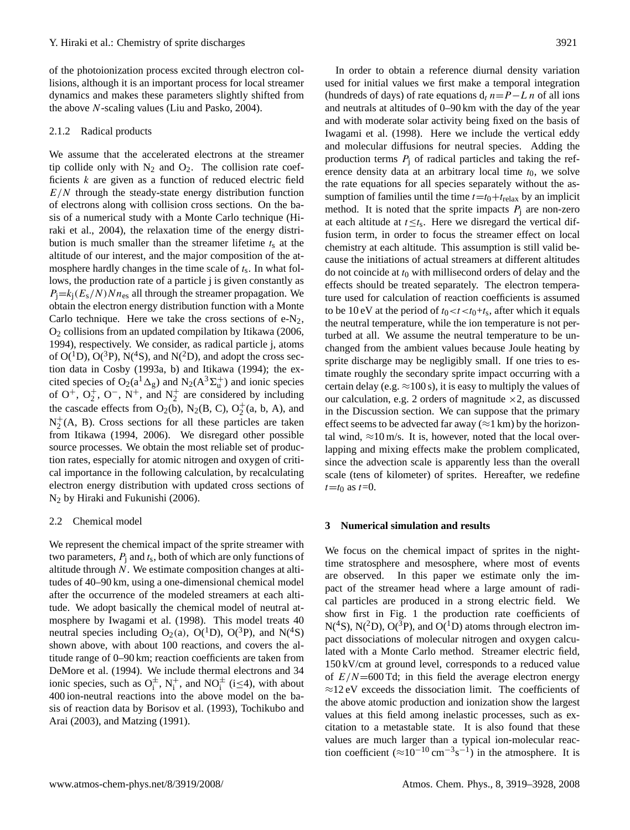of the photoionization process excited through electron collisions, although it is an important process for local streamer dynamics and makes these parameters slightly shifted from the above N-scaling values (Liu and Pasko, 2004).

#### 2.1.2 Radical products

We assume that the accelerated electrons at the streamer tip collide only with  $N_2$  and  $O_2$ . The collision rate coefficients  $k$  are given as a function of reduced electric field  $E/N$  through the steady-state energy distribution function of electrons along with collision cross sections. On the basis of a numerical study with a Monte Carlo technique (Hiraki et al., 2004), the relaxation time of the energy distribution is much smaller than the streamer lifetime  $t_s$  at the altitude of our interest, and the major composition of the atmosphere hardly changes in the time scale of  $t_s$ . In what follows, the production rate of a particle j is given constantly as  $P_i = k_i (E_s/N) N n_{es}$  all through the streamer propagation. We obtain the electron energy distribution function with a Monte Carlo technique. Here we take the cross sections of  $e-N_2$ , O<sup>2</sup> collisions from an updated compilation by Itikawa (2006, 1994), respectively. We consider, as radical particle j, atoms of  $O(^1D)$ ,  $O(^3P)$ ,  $N(^4S)$ , and  $N(^2D)$ , and adopt the cross section data in Cosby (1993a, b) and Itikawa (1994); the excited species of  $O_2(a^1 \Delta_g)$  and  $N_2(A^3 \Sigma_u^+)$  and ionic species of  $O^+$ ,  $O_2^+$ ,  $O^-$ ,  $N^+$ , and  $N_2^+$  are considered by including the cascade effects from  $O_2(b)$ ,  $N_2(B, C), O_2^+(a, b, A)$ , and  $N_2^+$  $2^+(A, B)$ . Cross sections for all these particles are taken from Itikawa (1994, 2006). We disregard other possible source processes. We obtain the most reliable set of production rates, especially for atomic nitrogen and oxygen of critical importance in the following calculation, by recalculating electron energy distribution with updated cross sections of N<sup>2</sup> by Hiraki and Fukunishi (2006).

#### 2.2 Chemical model

We represent the chemical impact of the sprite streamer with two parameters,  $P_j$  and  $t_s$ , both of which are only functions of altitude through N. We estimate composition changes at altitudes of 40–90 km, using a one-dimensional chemical model after the occurrence of the modeled streamers at each altitude. We adopt basically the chemical model of neutral atmosphere by Iwagami et al. (1998). This model treats 40 neutral species including  $O_2(a)$ ,  $O(^1D)$ ,  $O(^3P)$ , and  $N(^4S)$ shown above, with about 100 reactions, and covers the altitude range of 0–90 km; reaction coefficients are taken from DeMore et al. (1994). We include thermal electrons and 34 ionic species, such as  $O_i^{\pm}$ ,  $N_i^{+}$ , and  $NO_i^{\pm}$  (i  $\leq 4$ ), with about 400 ion-neutral reactions into the above model on the basis of reaction data by Borisov et al. (1993), Tochikubo and Arai (2003), and Matzing (1991).

In order to obtain a reference diurnal density variation used for initial values we first make a temporal integration (hundreds of days) of rate equations  $d_t n = P - L n$  of all ions and neutrals at altitudes of 0–90 km with the day of the year and with moderate solar activity being fixed on the basis of Iwagami et al. (1998). Here we include the vertical eddy and molecular diffusions for neutral species. Adding the production terms  $P_i$  of radical particles and taking the reference density data at an arbitrary local time  $t_0$ , we solve the rate equations for all species separately without the assumption of families until the time  $t=t_0+t_{relax}$  by an implicit method. It is noted that the sprite impacts  $P_i$  are non-zero at each altitude at  $t \leq t_s$ . Here we disregard the vertical diffusion term, in order to focus the streamer effect on local chemistry at each altitude. This assumption is still valid because the initiations of actual streamers at different altitudes do not coincide at  $t_0$  with millisecond orders of delay and the effects should be treated separately. The electron temperature used for calculation of reaction coefficients is assumed to be 10 eV at the period of  $t_0 < t < t_0+t_s$ , after which it equals the neutral temperature, while the ion temperature is not perturbed at all. We assume the neutral temperature to be unchanged from the ambient values because Joule heating by sprite discharge may be negligibly small. If one tries to estimate roughly the secondary sprite impact occurring with a certain delay (e.g.  $\approx$ 100 s), it is easy to multiply the values of our calculation, e.g. 2 orders of magnitude  $\times$ 2, as discussed in the Discussion section. We can suppose that the primary effect seems to be advected far away ( $\approx$ 1 km) by the horizontal wind,  $\approx 10$  m/s. It is, however, noted that the local overlapping and mixing effects make the problem complicated, since the advection scale is apparently less than the overall scale (tens of kilometer) of sprites. Hereafter, we redefine  $t=t_0$  as  $t=0$ .

#### **3 Numerical simulation and results**

We focus on the chemical impact of sprites in the nighttime stratosphere and mesosphere, where most of events are observed. In this paper we estimate only the impact of the streamer head where a large amount of radical particles are produced in a strong electric field. We show first in Fig. 1 the production rate coefficients of  $N(^{4}S)$ ,  $N(^{2}D)$ ,  $O(^{3}P)$ , and  $O(^{1}D)$  atoms through electron impact dissociations of molecular nitrogen and oxygen calculated with a Monte Carlo method. Streamer electric field, 150 kV/cm at ground level, corresponds to a reduced value of  $E/N=600$  Td; in this field the average electron energy ≈12 eV exceeds the dissociation limit. The coefficients of the above atomic production and ionization show the largest values at this field among inelastic processes, such as excitation to a metastable state. It is also found that these values are much larger than a typical ion-molecular reaction coefficient  $(\approx 10^{-10} \text{ cm}^{-3} \text{s}^{-1})$  in the atmosphere. It is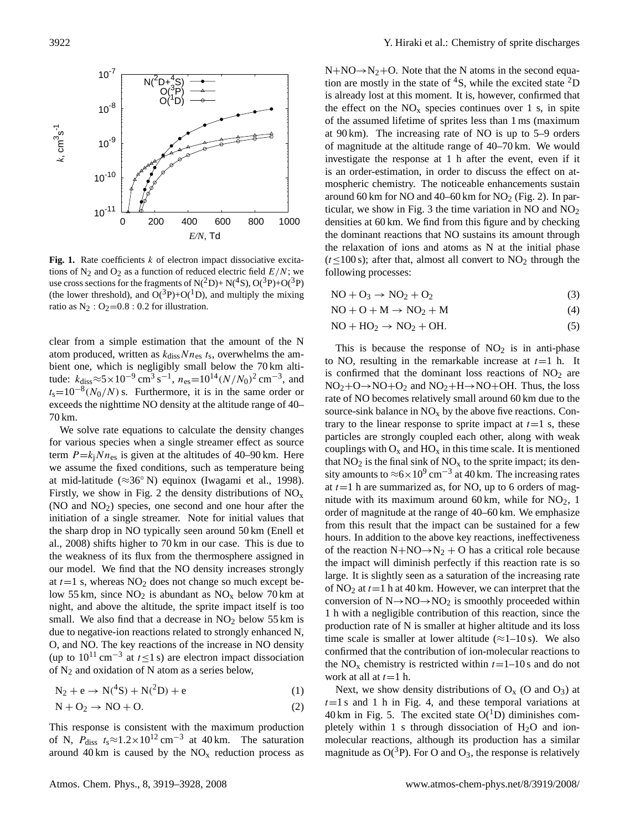

Fig. 1. Rate coefficients k of electron impact dissociative excitations of N<sub>2</sub> and O<sub>2</sub> as a function of reduced electric field  $E/N$ ; we use cross sections for the fragments of  $N(^2D) + N(^4S)$ ,  $O(^3P) + O(^3P)$ (the lower threshold), and  $O(^3P)+O(^1D)$ , and multiply the mixing ratio as  $N_2$ :  $O_2=0.8$ : 0.2 for illustration.

clear from a simple estimation that the amount of the N atom produced, written as  $k_{\text{diss}}Nn_{\text{es}} t_s$ , overwhelms the ambient one, which is negligibly small below the 70 km altitude:  $k_{\text{diss}} \approx 5 \times 10^{-9} \text{ cm}^3 \text{ s}^{-1}$ ,  $n_{\text{es}} = 10^{14} (N/N_0)^2 \text{ cm}^{-3}$ , and  $t_s=10^{-8}(N_0/N)$  s. Furthermore, it is in the same order or exceeds the nighttime NO density at the altitude range of 40– 70 km.

We solve rate equations to calculate the density changes for various species when a single streamer effect as source term  $P=k_iNn_{\text{es}}$  is given at the altitudes of 40–90 km. Here we assume the fixed conditions, such as temperature being at mid-latitude ( $\approx 36^\circ$  N) equinox (Iwagami et al., 1998). Firstly, we show in Fig. 2 the density distributions of  $NO<sub>x</sub>$  $(NO and NO<sub>2</sub>)$  species, one second and one hour after the initiation of a single streamer. Note for initial values that the sharp drop in NO typically seen around 50 km (Enell et al., 2008) shifts higher to 70 km in our case. This is due to the weakness of its flux from the thermosphere assigned in our model. We find that the NO density increases strongly at  $t=1$  s, whereas  $NO<sub>2</sub>$  does not change so much except below 55 km, since  $NO<sub>2</sub>$  is abundant as  $NO<sub>x</sub>$  below 70 km at night, and above the altitude, the sprite impact itself is too small. We also find that a decrease in  $NO<sub>2</sub>$  below 55 km is due to negative-ion reactions related to strongly enhanced N, O, and NO. The key reactions of the increase in NO density (up to  $10^{11}$  cm<sup>-3</sup> at  $t \le 1$  s) are electron impact dissociation of  $N_2$  and oxidation of N atom as a series below,

$$
N_2 + e \to N(^4S) + N(^2D) + e \tag{1}
$$

$$
N + O_2 \to NO + O. \tag{2}
$$

This response is consistent with the maximum production of N,  $P_{\text{diss}}$   $t_s \approx 1.2 \times 10^{12} \text{ cm}^{-3}$  at 40 km. The saturation around 40 km is caused by the  $NO<sub>x</sub>$  reduction process as  $N+NO \rightarrow N_2+O$ . Note that the N atoms in the second equation are mostly in the state of  ${}^{4}S$ , while the excited state  ${}^{2}D$ is already lost at this moment. It is, however, confirmed that the effect on the  $NO<sub>x</sub>$  species continues over 1 s, in spite of the assumed lifetime of sprites less than 1 ms (maximum at 90 km). The increasing rate of NO is up to 5–9 orders of magnitude at the altitude range of 40–70 km. We would investigate the response at 1 h after the event, even if it is an order-estimation, in order to discuss the effect on atmospheric chemistry. The noticeable enhancements sustain around 60 km for NO and 40–60 km for  $NO<sub>2</sub>$  (Fig. 2). In particular, we show in Fig. 3 the time variation in NO and  $NO_2$ densities at 60 km. We find from this figure and by checking the dominant reactions that NO sustains its amount through the relaxation of ions and atoms as N at the initial phase  $(t \leq 100 \text{ s})$ ; after that, almost all convert to NO<sub>2</sub> through the following processes:

$$
NO + O_3 \rightarrow NO_2 + O_2 \tag{3}
$$

$$
NO + O + M \rightarrow NO_2 + M \tag{4}
$$

$$
NO + HO2 \rightarrow NO2 + OH.
$$
 (5)

This is because the response of  $NO<sub>2</sub>$  is in anti-phase to NO, resulting in the remarkable increase at  $t=1$  h. It is confirmed that the dominant loss reactions of  $NO<sub>2</sub>$  are  $NO<sub>2</sub>+O \rightarrow NO+O<sub>2</sub>$  and  $NO<sub>2</sub>+H \rightarrow NO+OH$ . Thus, the loss rate of NO becomes relatively small around 60 km due to the source-sink balance in  $NO<sub>x</sub>$  by the above five reactions. Contrary to the linear response to sprite impact at  $t=1$  s, these particles are strongly coupled each other, along with weak couplings with  $O_x$  and  $HO_x$  in this time scale. It is mentioned that  $NO<sub>2</sub>$  is the final sink of  $NO<sub>x</sub>$  to the sprite impact; its density amounts to  $\approx 6 \times 10^9$  cm<sup>-3</sup> at 40 km. The increasing rates at  $t=1$  h are summarized as, for NO, up to 6 orders of magnitude with its maximum around 60 km, while for  $NO<sub>2</sub>$ , 1 order of magnitude at the range of 40–60 km. We emphasize from this result that the impact can be sustained for a few hours. In addition to the above key reactions, ineffectiveness of the reaction  $N+NO \rightarrow N_2 + O$  has a critical role because the impact will diminish perfectly if this reaction rate is so large. It is slightly seen as a saturation of the increasing rate of  $NO<sub>2</sub>$  at  $t=1$  h at 40 km. However, we can interpret that the conversion of  $N \rightarrow NO \rightarrow NO_2$  is smoothly proceeded within 1 h with a negligible contribution of this reaction, since the production rate of N is smaller at higher altitude and its loss time scale is smaller at lower altitude  $(\approx 1-10 \text{ s})$ . We also confirmed that the contribution of ion-molecular reactions to the NO<sub>x</sub> chemistry is restricted within  $t=1-10$  s and do not work at all at  $t=1$  h.

Next, we show density distributions of  $O<sub>x</sub>$  (O and  $O<sub>3</sub>$ ) at  $t=1$  s and 1 h in Fig. 4, and these temporal variations at 40 km in Fig. 5. The excited state  $O(^1D)$  diminishes completely within 1 s through dissociation of  $H_2O$  and ionmolecular reactions, although its production has a similar magnitude as  $O(^3P)$ . For O and O<sub>3</sub>, the response is relatively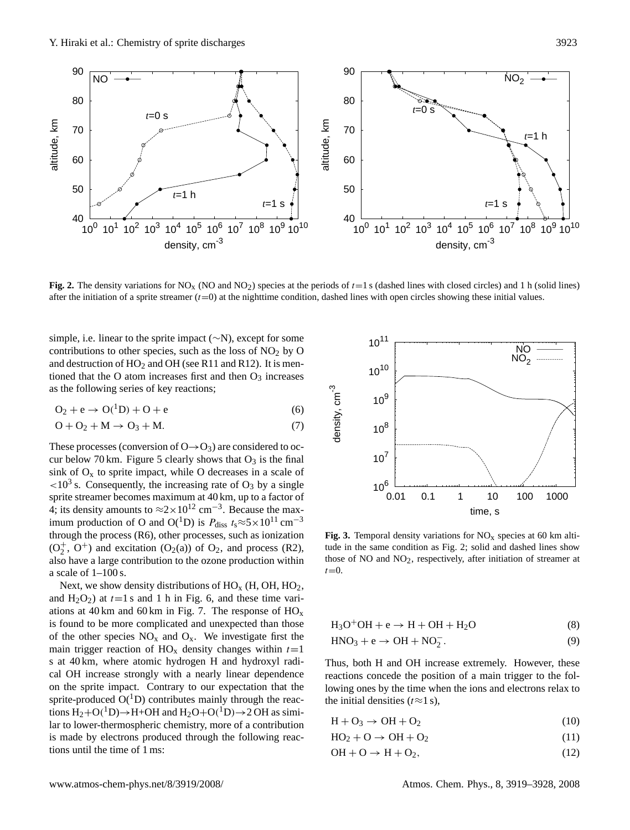

**Fig. 2.** The density variations for NO<sub>x</sub> (NO and NO<sub>2</sub>) species at the periods of  $t=1$  s (dashed lines with closed circles) and 1 h (solid lines) after the initiation of a sprite streamer  $(t=0)$  at the nighttime condition, dashed lines with open circles showing these initial values.

simple, i.e. linear to the sprite impact (∼N), except for some contributions to other species, such as the loss of  $NO<sub>2</sub>$  by O and destruction of  $HO_2$  and OH (see R11 and R12). It is mentioned that the O atom increases first and then  $O_3$  increases as the following series of key reactions;

$$
O_2 + e \rightarrow O(^1D) + O + e \tag{6}
$$

$$
O + O_2 + M \rightarrow O_3 + M. \tag{7}
$$

These processes (conversion of  $O \rightarrow O_3$ ) are considered to occur below 70 km. Figure 5 clearly shows that  $O_3$  is the final sink of  $O_x$  to sprite impact, while O decreases in a scale of  $<$ 10<sup>3</sup> s. Consequently, the increasing rate of O<sub>3</sub> by a single sprite streamer becomes maximum at 40 km, up to a factor of 4; its density amounts to  $\approx 2 \times 10^{12}$  cm<sup>-3</sup>. Because the maximum production of O and O(<sup>1</sup>D) is  $P_{\text{diss}} t_s \approx 5 \times 10^{11} \text{ cm}^{-3}$ through the process (R6), other processes, such as ionization  $(O_2^+, O^+)$  and excitation  $(O_2(a))$  of  $O_2$ , and process (R2), also have a large contribution to the ozone production within a scale of  $1-100$  s.

Next, we show density distributions of  $HO_x$  (H, OH,  $HO_2$ , and  $H_2O_2$ ) at  $t=1$  s and 1 h in Fig. 6, and these time variations at 40 km and 60 km in Fig. 7. The response of  $HO_x$ is found to be more complicated and unexpected than those of the other species  $NO_x$  and  $O_x$ . We investigate first the main trigger reaction of  $HO_x$  density changes within  $t=1$ s at 40 km, where atomic hydrogen H and hydroxyl radical OH increase strongly with a nearly linear dependence on the sprite impact. Contrary to our expectation that the sprite-produced  $O(^1D)$  contributes mainly through the reactions  $H_2+O(^1D) \rightarrow H+OH$  and  $H_2O+O(^1D) \rightarrow 2OH$  as similar to lower-thermospheric chemistry, more of a contribution is made by electrons produced through the following reactions until the time of 1 ms:



**Fig. 3.** Temporal density variations for  $NO<sub>x</sub>$  species at 60 km altitude in the same condition as Fig. 2; solid and dashed lines show those of NO and  $NO<sub>2</sub>$ , respectively, after initiation of streamer at  $t=0$ .

$$
H_3O^+OH + e \rightarrow H + OH + H_2O \tag{8}
$$

$$
HNO3 + e \rightarrow OH + NO2-.
$$
 (9)

Thus, both H and OH increase extremely. However, these reactions concede the position of a main trigger to the following ones by the time when the ions and electrons relax to the initial densities ( $t \approx 1$  s),

$$
H + O_3 \rightarrow OH + O_2 \tag{10}
$$

$$
HO_2 + O \to OH + O_2 \tag{11}
$$

$$
OH + O \rightarrow H + O2, \t(12)
$$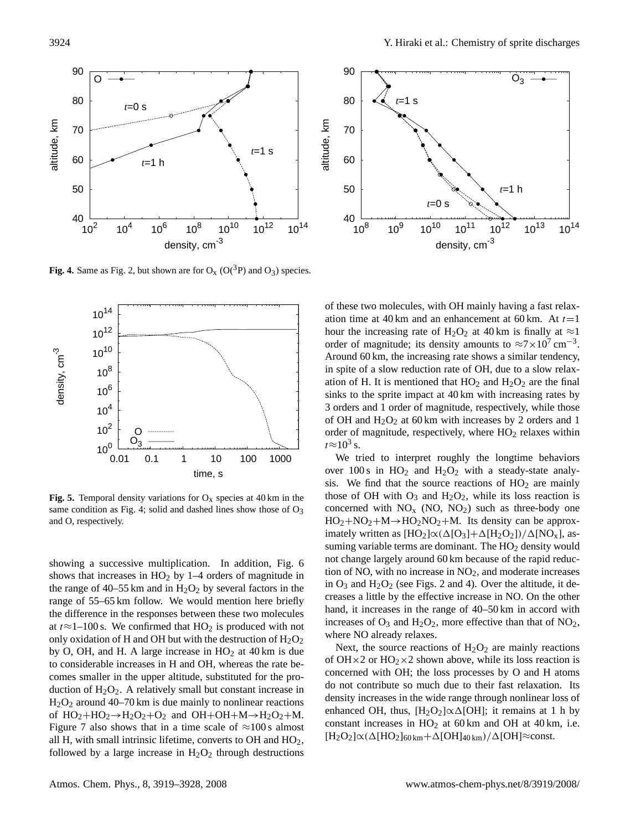

**Fig. 4.** Same as Fig. 2, but shown are for  $O_X(O(^3P)$  and  $O_3$ ) species.



**Fig. 5.** Temporal density variations for  $O_x$  species at 40 km in the same condition as Fig. 4; solid and dashed lines show those of  $O<sub>3</sub>$ and O, respectively.

showing a successive multiplication. In addition, Fig. 6 shows that increases in  $HO<sub>2</sub>$  by 1–4 orders of magnitude in the range of 40–55 km and in  $H_2O_2$  by several factors in the range of 55–65 km follow. We would mention here briefly the difference in the responses between these two molecules at  $t \approx 1-100$  s. We confirmed that HO<sub>2</sub> is produced with not only oxidation of H and OH but with the destruction of  $H_2O_2$ by O, OH, and H. A large increase in  $HO<sub>2</sub>$  at 40 km is due to considerable increases in H and OH, whereas the rate becomes smaller in the upper altitude, substituted for the production of  $H_2O_2$ . A relatively small but constant increase in  $H<sub>2</sub>O<sub>2</sub>$  around 40–70 km is due mainly to nonlinear reactions of  $HO_2 + HO_2 \rightarrow H_2O_2 + O_2$  and  $OH + OH + M \rightarrow H_2O_2 + M$ . Figure 7 also shows that in a time scale of  $\approx$ 100 s almost all H, with small intrinsic lifetime, converts to  $OH$  and  $HO<sub>2</sub>$ , followed by a large increase in  $H_2O_2$  through destructions



of these two molecules, with OH mainly having a fast relaxation time at 40 km and an enhancement at 60 km. At  $t=1$ hour the increasing rate of H<sub>2</sub>O<sub>2</sub> at 40 km is finally at  $\approx$ 1 order of magnitude; its density amounts to  $\approx 7 \times 10^{7}$  cm<sup>-3</sup>. Around 60 km, the increasing rate shows a similar tendency, in spite of a slow reduction rate of OH, due to a slow relaxation of H. It is mentioned that  $HO_2$  and  $H_2O_2$  are the final sinks to the sprite impact at 40 km with increasing rates by 3 orders and 1 order of magnitude, respectively, while those of OH and  $H_2O_2$  at 60 km with increases by 2 orders and 1 order of magnitude, respectively, where  $HO<sub>2</sub>$  relaxes within  $t \approx 10^3$  s.

We tried to interpret roughly the longtime behaviors over 100 s in  $HO<sub>2</sub>$  and  $H<sub>2</sub>O<sub>2</sub>$  with a steady-state analysis. We find that the source reactions of  $HO<sub>2</sub>$  are mainly those of OH with  $O_3$  and  $H_2O_2$ , while its loss reaction is concerned with  $NO<sub>x</sub>$  (NO, NO<sub>2</sub>) such as three-body one  $HO_2 + NO_2 + M \rightarrow HO_2NO_2 + M$ . Its density can be approximately written as  $[HO_2] \propto (\Delta[O_3]+\Delta[H_2O_2])/\Delta[NO_x]$ , assuming variable terms are dominant. The  $HO<sub>2</sub>$  density would not change largely around 60 km because of the rapid reduction of NO, with no increase in  $NO<sub>2</sub>$ , and moderate increases in  $O_3$  and  $H_2O_2$  (see Figs. 2 and 4). Over the altitude, it decreases a little by the effective increase in NO. On the other hand, it increases in the range of 40–50 km in accord with increases of  $O_3$  and  $H_2O_2$ , more effective than that of  $NO_2$ , where NO already relaxes.

Next, the source reactions of  $H_2O_2$  are mainly reactions of OH $\times$ 2 or HO<sub>2</sub> $\times$ 2 shown above, while its loss reaction is concerned with OH; the loss processes by O and H atoms do not contribute so much due to their fast relaxation. Its density increases in the wide range through nonlinear loss of enhanced OH, thus,  $[H_2O_2] \propto \Delta$ [OH]; it remains at 1 h by constant increases in  $HO<sub>2</sub>$  at 60 km and OH at 40 km, i.e.  $[H_2O_2]\propto(\Delta[HO_2]_{60 \text{ km}}+\Delta[OH]_{40 \text{ km}})/\Delta[OH]\approx \text{const.}$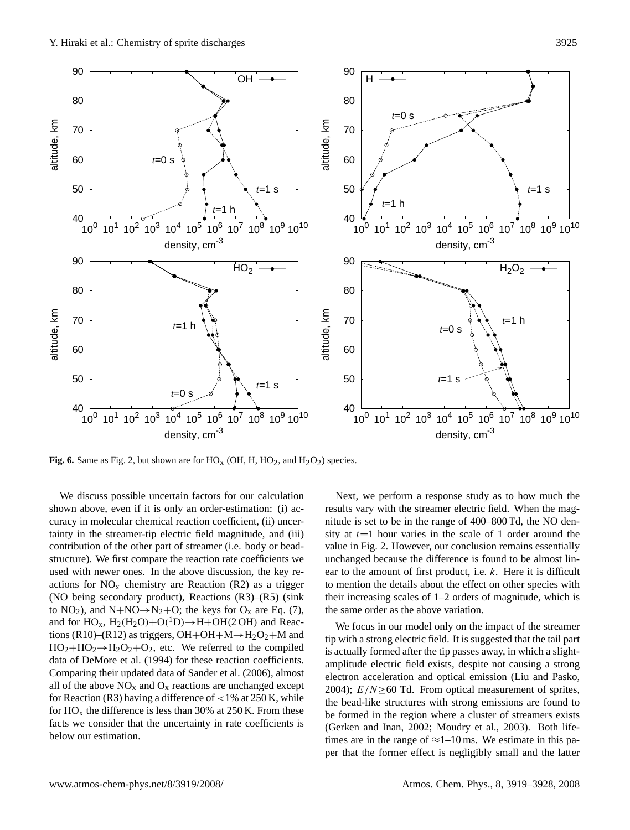

**Fig. 6.** Same as Fig. 2, but shown are for  $HO_X$  (OH, H,  $HO_2$ , and  $H_2O_2$ ) species.

We discuss possible uncertain factors for our calculation shown above, even if it is only an order-estimation: (i) accuracy in molecular chemical reaction coefficient, (ii) uncertainty in the streamer-tip electric field magnitude, and (iii) contribution of the other part of streamer (i.e. body or beadstructure). We first compare the reaction rate coefficients we used with newer ones. In the above discussion, the key reactions for  $NO<sub>x</sub>$  chemistry are Reaction (R2) as a trigger (NO being secondary product), Reactions (R3)–(R5) (sink to  $NO_2$ ), and  $N+NO \rightarrow N_2+O$ ; the keys for  $O_x$  are Eq. (7), and for  $HO_x$ ,  $H_2(H_2O) + O(^1D) \rightarrow H + OH(2 \text{ OH})$  and Reactions (R10)–(R12) as triggers, OH+OH+M $\rightarrow$ H<sub>2</sub>O<sub>2</sub>+M and  $HO_2 + HO_2 \rightarrow H_2O_2 + O_2$ , etc. We referred to the compiled data of DeMore et al. (1994) for these reaction coefficients. Comparing their updated data of Sander et al. (2006), almost all of the above  $NO<sub>x</sub>$  and  $O<sub>x</sub>$  reactions are unchanged except for Reaction (R3) having a difference of  $<$  1% at 250 K, while for  $HO_x$  the difference is less than 30% at 250 K. From these facts we consider that the uncertainty in rate coefficients is below our estimation.

Next, we perform a response study as to how much the results vary with the streamer electric field. When the magnitude is set to be in the range of 400–800 Td, the NO density at  $t=1$  hour varies in the scale of 1 order around the value in Fig. 2. However, our conclusion remains essentially unchanged because the difference is found to be almost linear to the amount of first product, i.e. k. Here it is difficult to mention the details about the effect on other species with their increasing scales of 1–2 orders of magnitude, which is the same order as the above variation.

We focus in our model only on the impact of the streamer tip with a strong electric field. It is suggested that the tail part is actually formed after the tip passes away, in which a slightamplitude electric field exists, despite not causing a strong electron acceleration and optical emission (Liu and Pasko, 2004);  $E/N>60$  Td. From optical measurement of sprites, the bead-like structures with strong emissions are found to be formed in the region where a cluster of streamers exists (Gerken and Inan, 2002; Moudry et al., 2003). Both lifetimes are in the range of  $\approx$ 1–10 ms. We estimate in this paper that the former effect is negligibly small and the latter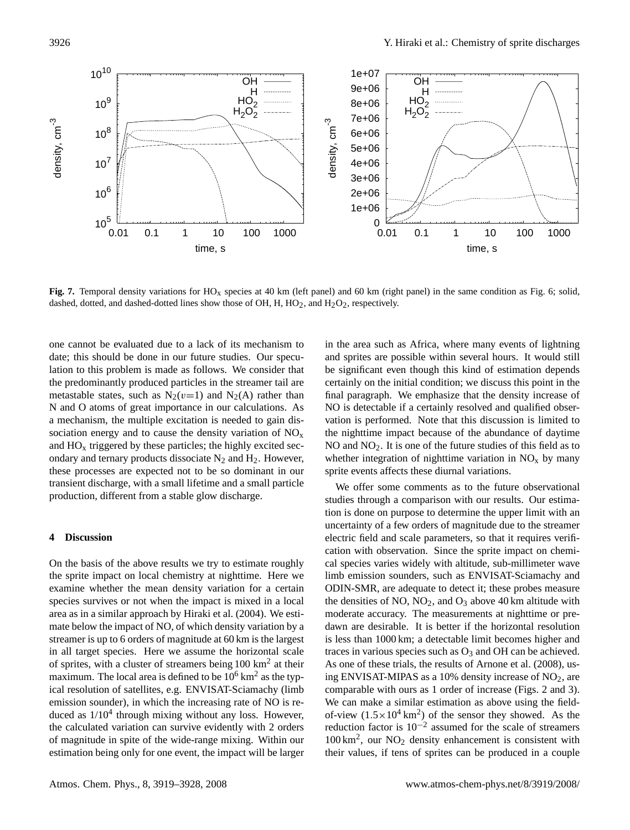

Fig. 7. Temporal density variations for HO<sub>x</sub> species at 40 km (left panel) and 60 km (right panel) in the same condition as Fig. 6; solid, dashed, dotted, and dashed-dotted lines show those of OH, H,  $HO_2$ , and  $H_2O_2$ , respectively.

one cannot be evaluated due to a lack of its mechanism to date; this should be done in our future studies. Our speculation to this problem is made as follows. We consider that the predominantly produced particles in the streamer tail are metastable states, such as  $N_2(v=1)$  and  $N_2(A)$  rather than N and O atoms of great importance in our calculations. As a mechanism, the multiple excitation is needed to gain dissociation energy and to cause the density variation of  $NO<sub>x</sub>$ and  $HO<sub>x</sub>$  triggered by these particles; the highly excited secondary and ternary products dissociate  $N_2$  and  $H_2$ . However, these processes are expected not to be so dominant in our transient discharge, with a small lifetime and a small particle production, different from a stable glow discharge.

# **4 Discussion**

On the basis of the above results we try to estimate roughly the sprite impact on local chemistry at nighttime. Here we examine whether the mean density variation for a certain species survives or not when the impact is mixed in a local area as in a similar approach by Hiraki et al. (2004). We estimate below the impact of NO, of which density variation by a streamer is up to 6 orders of magnitude at 60 km is the largest in all target species. Here we assume the horizontal scale of sprites, with a cluster of streamers being  $100 \text{ km}^2$  at their maximum. The local area is defined to be  $10^6$  km<sup>2</sup> as the typical resolution of satellites, e.g. ENVISAT-Sciamachy (limb emission sounder), in which the increasing rate of NO is reduced as  $1/10<sup>4</sup>$  through mixing without any loss. However, the calculated variation can survive evidently with 2 orders of magnitude in spite of the wide-range mixing. Within our estimation being only for one event, the impact will be larger in the area such as Africa, where many events of lightning and sprites are possible within several hours. It would still be significant even though this kind of estimation depends certainly on the initial condition; we discuss this point in the final paragraph. We emphasize that the density increase of NO is detectable if a certainly resolved and qualified observation is performed. Note that this discussion is limited to the nighttime impact because of the abundance of daytime NO and  $NO<sub>2</sub>$ . It is one of the future studies of this field as to whether integration of nighttime variation in  $NO<sub>x</sub>$  by many sprite events affects these diurnal variations.

We offer some comments as to the future observational studies through a comparison with our results. Our estimation is done on purpose to determine the upper limit with an uncertainty of a few orders of magnitude due to the streamer electric field and scale parameters, so that it requires verification with observation. Since the sprite impact on chemical species varies widely with altitude, sub-millimeter wave limb emission sounders, such as ENVISAT-Sciamachy and ODIN-SMR, are adequate to detect it; these probes measure the densities of NO,  $NO<sub>2</sub>$ , and  $O<sub>3</sub>$  above 40 km altitude with moderate accuracy. The measurements at nighttime or predawn are desirable. It is better if the horizontal resolution is less than 1000 km; a detectable limit becomes higher and traces in various species such as  $O_3$  and OH can be achieved. As one of these trials, the results of Arnone et al. (2008), using ENVISAT-MIPAS as a 10% density increase of  $NO<sub>2</sub>$ , are comparable with ours as 1 order of increase (Figs. 2 and 3). We can make a similar estimation as above using the fieldof-view  $(1.5 \times 10^4 \text{ km}^2)$  of the sensor they showed. As the reduction factor is  $10^{-2}$  assumed for the scale of streamers 100 km<sup>2</sup> , our NO<sup>2</sup> density enhancement is consistent with their values, if tens of sprites can be produced in a couple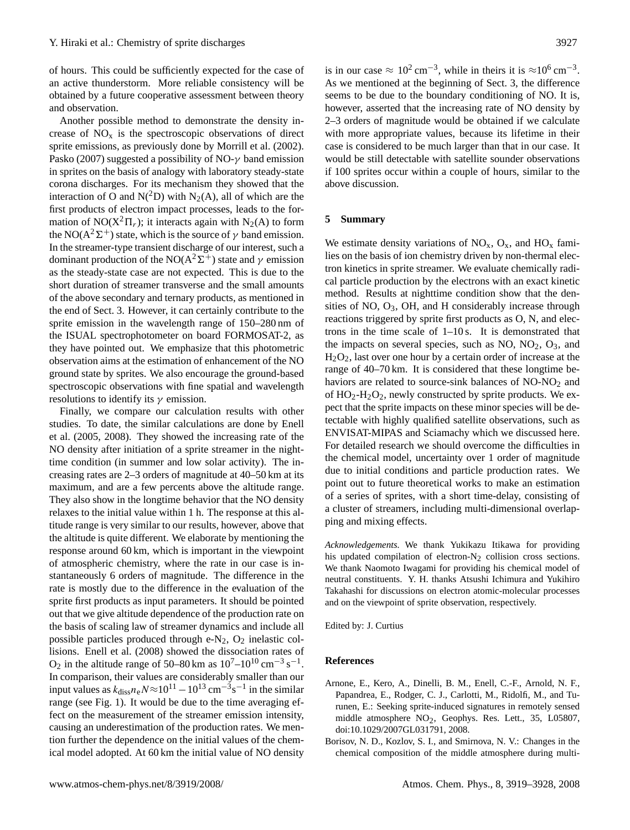of hours. This could be sufficiently expected for the case of an active thunderstorm. More reliable consistency will be obtained by a future cooperative assessment between theory and observation.

Another possible method to demonstrate the density increase of  $NO<sub>x</sub>$  is the spectroscopic observations of direct sprite emissions, as previously done by Morrill et al. (2002). Pasko (2007) suggested a possibility of NO- $\gamma$  band emission in sprites on the basis of analogy with laboratory steady-state corona discharges. For its mechanism they showed that the interaction of O and  $N(^2D)$  with  $N_2(A)$ , all of which are the first products of electron impact processes, leads to the formation of NO( $X^2\Pi_r$ ); it interacts again with N<sub>2</sub>(A) to form the NO( $A^2\Sigma^+$ ) state, which is the source of  $\gamma$  band emission. In the streamer-type transient discharge of our interest, such a dominant production of the NO( $A^2\Sigma^+$ ) state and  $\gamma$  emission as the steady-state case are not expected. This is due to the short duration of streamer transverse and the small amounts of the above secondary and ternary products, as mentioned in the end of Sect. 3. However, it can certainly contribute to the sprite emission in the wavelength range of 150–280 nm of the ISUAL spectrophotometer on board FORMOSAT-2, as they have pointed out. We emphasize that this photometric observation aims at the estimation of enhancement of the NO ground state by sprites. We also encourage the ground-based spectroscopic observations with fine spatial and wavelength resolutions to identify its  $\gamma$  emission.

Finally, we compare our calculation results with other studies. To date, the similar calculations are done by Enell et al. (2005, 2008). They showed the increasing rate of the NO density after initiation of a sprite streamer in the nighttime condition (in summer and low solar activity). The increasing rates are 2–3 orders of magnitude at 40–50 km at its maximum, and are a few percents above the altitude range. They also show in the longtime behavior that the NO density relaxes to the initial value within 1 h. The response at this altitude range is very similar to our results, however, above that the altitude is quite different. We elaborate by mentioning the response around 60 km, which is important in the viewpoint of atmospheric chemistry, where the rate in our case is instantaneously 6 orders of magnitude. The difference in the rate is mostly due to the difference in the evaluation of the sprite first products as input parameters. It should be pointed out that we give altitude dependence of the production rate on the basis of scaling law of streamer dynamics and include all possible particles produced through  $e-N_2$ ,  $O_2$  inelastic collisions. Enell et al. (2008) showed the dissociation rates of O<sub>2</sub> in the altitude range of 50–80 km as  $10^{7}$ – $10^{10}$  cm<sup>-3</sup> s<sup>-1</sup>. In comparison, their values are considerably smaller than our input values as  $k_{\text{diss}} n_e N \approx 10^{11} - 10^{13} \text{ cm}^{-3} \text{s}^{-1}$  in the similar range (see Fig. 1). It would be due to the time averaging effect on the measurement of the streamer emission intensity, causing an underestimation of the production rates. We mention further the dependence on the initial values of the chemical model adopted. At 60 km the initial value of NO density

is in our case  $\approx 10^2 \text{ cm}^{-3}$ , while in theirs it is  $\approx 10^6 \text{ cm}^{-3}$ . As we mentioned at the beginning of Sect. 3, the difference seems to be due to the boundary conditioning of NO. It is, however, asserted that the increasing rate of NO density by 2–3 orders of magnitude would be obtained if we calculate with more appropriate values, because its lifetime in their case is considered to be much larger than that in our case. It would be still detectable with satellite sounder observations if 100 sprites occur within a couple of hours, similar to the above discussion.

#### **5 Summary**

We estimate density variations of  $NO_x$ ,  $O_x$ , and  $HO_x$  families on the basis of ion chemistry driven by non-thermal electron kinetics in sprite streamer. We evaluate chemically radical particle production by the electrons with an exact kinetic method. Results at nighttime condition show that the densities of NO,  $O_3$ , OH, and H considerably increase through reactions triggered by sprite first products as O, N, and electrons in the time scale of 1–10 s. It is demonstrated that the impacts on several species, such as  $NO$ ,  $NO<sub>2</sub>$ ,  $O<sub>3</sub>$ , and  $H<sub>2</sub>O<sub>2</sub>$ , last over one hour by a certain order of increase at the range of 40–70 km. It is considered that these longtime behaviors are related to source-sink balances of  $NO-NO<sub>2</sub>$  and of  $HO_2-H_2O_2$ , newly constructed by sprite products. We expect that the sprite impacts on these minor species will be detectable with highly qualified satellite observations, such as ENVISAT-MIPAS and Sciamachy which we discussed here. For detailed research we should overcome the difficulties in the chemical model, uncertainty over 1 order of magnitude due to initial conditions and particle production rates. We point out to future theoretical works to make an estimation of a series of sprites, with a short time-delay, consisting of a cluster of streamers, including multi-dimensional overlapping and mixing effects.

*Acknowledgements.* We thank Yukikazu Itikawa for providing his updated compilation of electron- $N_2$  collision cross sections. We thank Naomoto Iwagami for providing his chemical model of neutral constituents. Y. H. thanks Atsushi Ichimura and Yukihiro Takahashi for discussions on electron atomic-molecular processes and on the viewpoint of sprite observation, respectively.

Edited by: J. Curtius

# **References**

- Arnone, E., Kero, A., Dinelli, B. M., Enell, C.-F., Arnold, N. F., Papandrea, E., Rodger, C. J., Carlotti, M., Ridolfi, M., and Turunen, E.: Seeking sprite-induced signatures in remotely sensed middle atmosphere  $NO<sub>2</sub>$ , Geophys. Res. Lett., 35, L05807, doi:10.1029/2007GL031791, 2008.
- Borisov, N. D., Kozlov, S. I., and Smirnova, N. V.: Changes in the chemical composition of the middle atmosphere during multi-